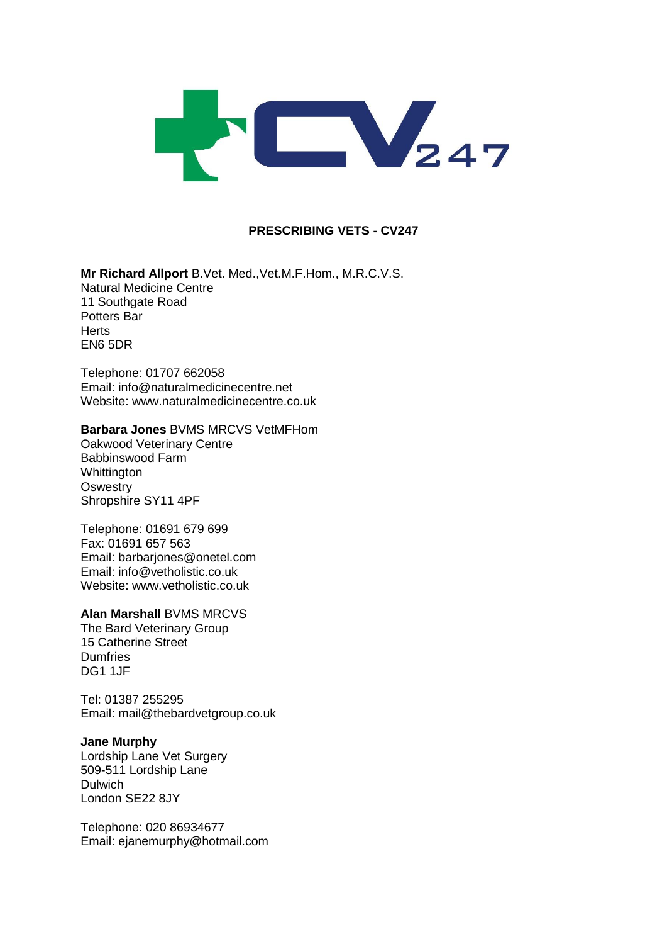

## **PRESCRIBING VETS - CV247**

**Mr Richard Allport** B.Vet. Med.,Vet.M.F.Hom., M.R.C.V.S. Natural Medicine Centre 11 Southgate Road Potters Bar Herts EN6 5DR

Telephone: 01707 662058 Email: info@naturalmedicinecentre.net Website: www.naturalmedicinecentre.co.uk

#### **Barbara Jones** BVMS MRCVS VetMFHom

Oakwood Veterinary Centre Babbinswood Farm **Whittington Oswestry** Shropshire SY11 4PF

Telephone: 01691 679 699 Fax: 01691 657 563 Email: [barbarjones@onetel.com](mailto:barbarjones@onetel.com) Email: [info@vetholistic.co.uk](mailto:info@vetholistic.co.uk) Website: www.vetholistic.co.uk

#### **Alan Marshall** BVMS MRCVS

The Bard Veterinary Group 15 Catherine Street **Dumfries** DG1 1JF

Tel: 01387 255295 Email: mail@thebardvetgroup.co.uk

## **Jane Murphy**

Lordship Lane Vet Surgery 509-511 Lordship Lane Dulwich London SE22 8JY

Telephone: 020 86934677 Email: ejanemurphy@hotmail.com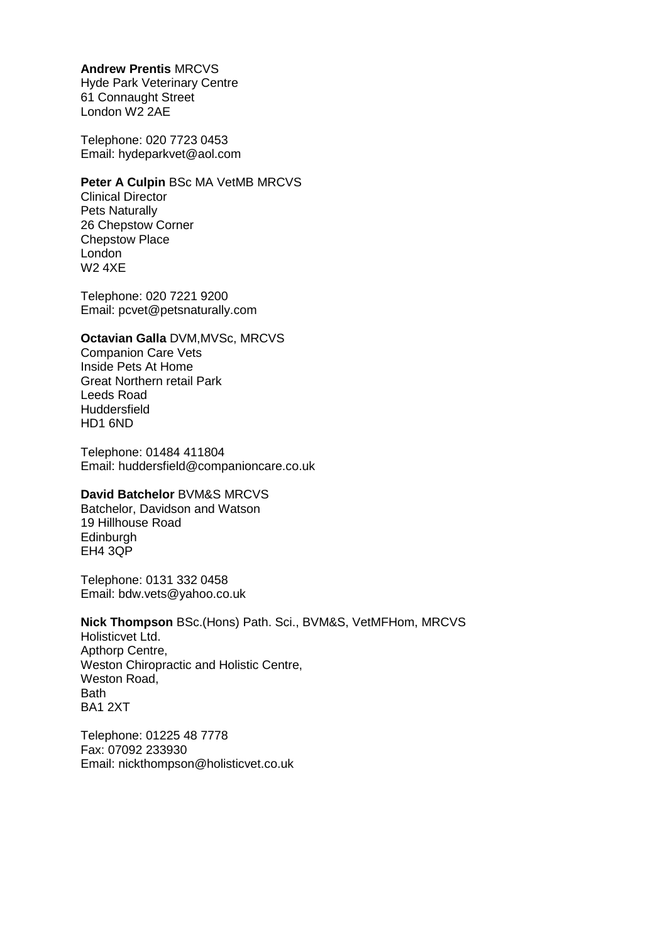## **Andrew Prentis** MRCVS

Hyde Park Veterinary Centre 61 Connaught Street London W2 2AE

Telephone: 020 7723 0453 Email: hydeparkvet@aol.com

## **Peter A Culpin** BSc MA VetMB MRCVS

Clinical Director Pets Naturally 26 Chepstow Corner Chepstow Place London W2 4XE

Telephone: 020 7221 9200 Email: pcvet@petsnaturally.com

# **Octavian Galla** DVM,MVSc, MRCVS

Companion Care Vets Inside Pets At Home Great Northern retail Park Leeds Road **Huddersfield** HD1 6ND

Telephone: 01484 411804 Email: huddersfield@companioncare.co.uk

# **David Batchelor** BVM&S MRCVS

Batchelor, Davidson and Watson 19 Hillhouse Road Edinburgh EH4 3QP

Telephone: 0131 332 0458 Email: bdw.vets@yahoo.co.uk

**Nick Thompson** BSc.(Hons) Path. Sci., BVM&S, VetMFHom, MRCVS Holisticvet Ltd. Apthorp Centre, Weston Chiropractic and Holistic Centre, Weston Road, Bath BA1 2XT

Telephone: 01225 48 7778 Fax: 07092 233930 Email: nickthompson@holisticvet.co.uk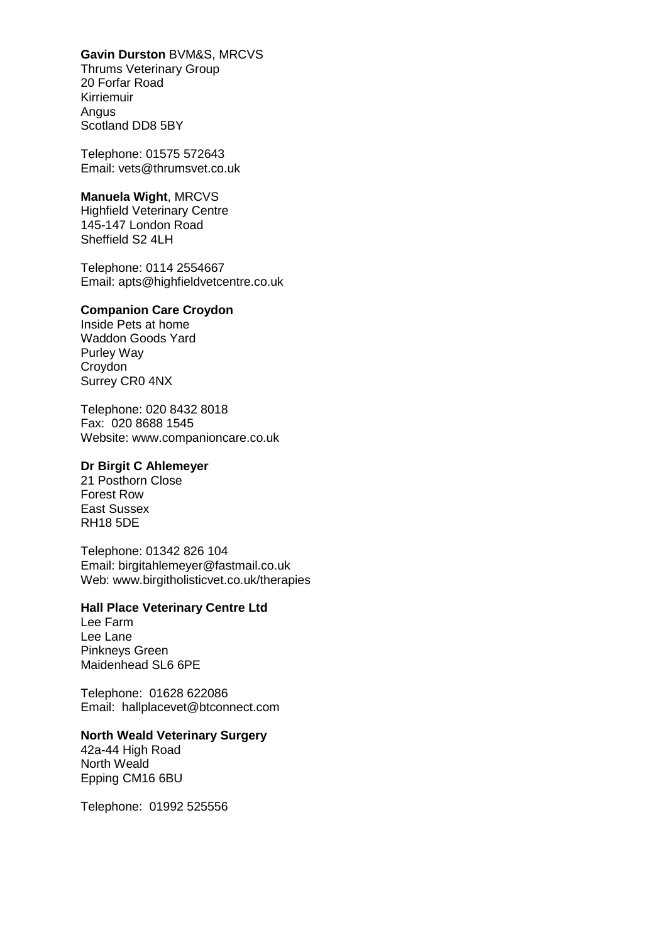## **Gavin Durston** BVM&S, MRCVS

Thrums Veterinary Group 20 Forfar Road Kirriemuir Angus Scotland DD8 5BY

Telephone: 01575 572643 Email: vets@thrumsvet.co.uk

#### **Manuela Wight**, MRCVS

Highfield Veterinary Centre 145-147 London Road Sheffield S2 4LH

Telephone: 0114 2554667 Email: apts@highfieldvetcentre.co.uk

#### **Companion Care Croydon**

Inside Pets at home Waddon Goods Yard Purley Way Croydon Surrey CR0 4NX

Telephone: 020 8432 8018 Fax: 020 8688 1545 Website: [www.companioncare.co.uk](http://www.companioncare.co.uk/)

## **Dr Birgit C Ahlemeyer**

21 Posthorn Close Forest Row East Sussex RH18 5DE

Telephone: 01342 826 104 Email: [birgitahlemeyer@fastmail.co.uk](mailto:birgitahlemeyer@fastmail.co.uk) Web: www.birgitholisticvet.co.uk/therapies

# **Hall Place Veterinary Centre Ltd**

Lee Farm Lee Lane Pinkneys Green Maidenhead SL6 6PE

Telephone: 01628 622086 Email: [hallplacevet@btconnect.com](mailto:hallplacevet@btconnect.com)

# **North Weald Veterinary Surgery**

42a-44 High Road North Weald Epping CM16 6BU

Telephone: 01992 525556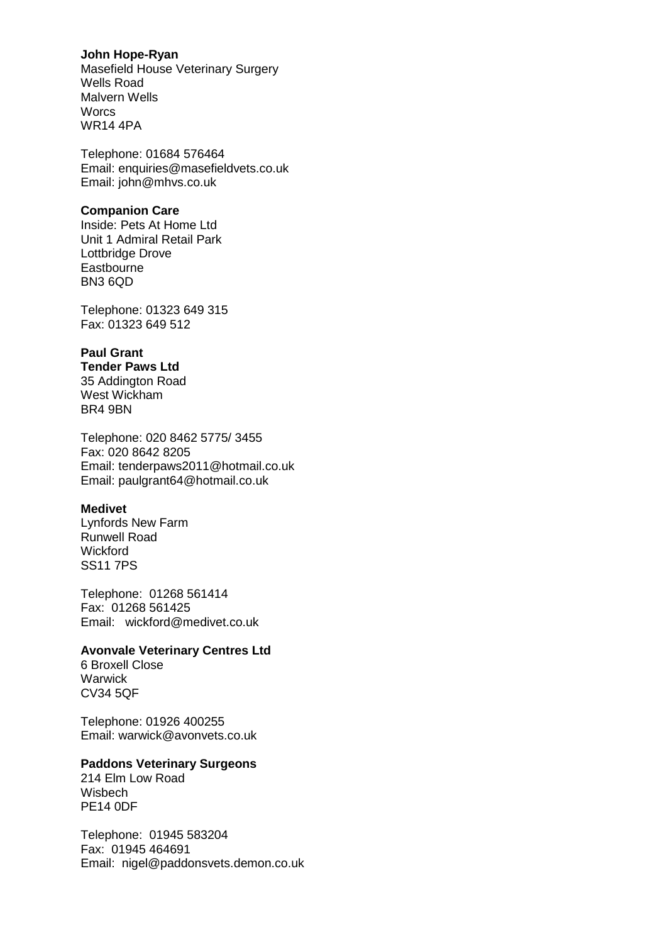## **John Hope-Ryan**

Masefield House Veterinary Surgery Wells Road Malvern Wells **Worcs** WR14 4PA

Telephone: 01684 576464 Email: enquiries@masefieldvets.co.uk Email: john@mhvs.co.uk

## **Companion Care**

Inside: Pets At Home Ltd Unit 1 Admiral Retail Park Lottbridge Drove **Eastbourne** BN3 6QD

Telephone: 01323 649 315 Fax: 01323 649 512

# **Paul Grant**

**Tender Paws Ltd** 35 Addington Road West Wickham BR4 9BN

Telephone: 020 8462 5775/ 3455 Fax: 020 8642 8205 Email: tenderpaws2011@hotmail.co.uk Email: paulgrant64@hotmail.co.uk

## **Medivet**

Lynfords New Farm Runwell Road **Wickford** SS11 7PS

Telephone: 01268 561414 Fax: 01268 561425 Email: [wickford@medivet.co.uk](mailto:wickford@medivet.co.uk)

## **Avonvale Veterinary Centres Ltd**

6 Broxell Close **Warwick** CV34 5QF

Telephone: 01926 400255 Email: [warwick@avonvets.co.uk](mailto:warwick@avonvets.co.uk)

## **Paddons Veterinary Surgeons**

214 Elm Low Road Wisbech PE14 0DF

Telephone: 01945 583204 Fax: 01945 464691 Email: [nigel@paddonsvets.demon.co.uk](mailto:nigel@paddonsvets.demon.co.uk)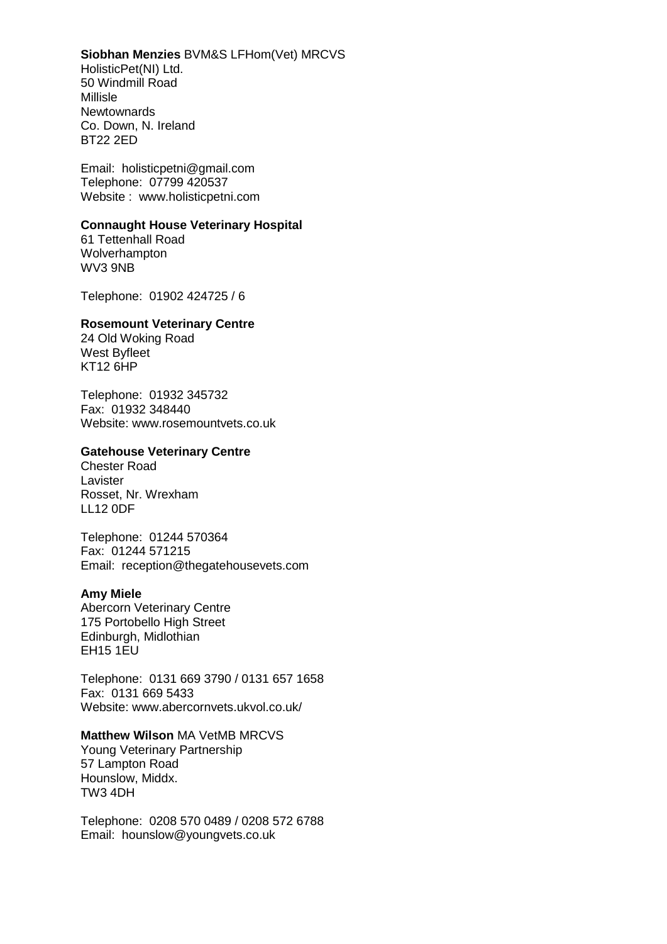#### **Siobhan Menzies** BVM&S LFHom(Vet) MRCVS

HolisticPet(NI) Ltd. 50 Windmill Road Millisle Newtownards Co. Down, N. Ireland BT22 2ED

Email: [holisticpetni@gmail.com](mailto:holisticpetni@gmail.com) Telephone: 07799 420537 Website : www.holisticpetni.com

## **Connaught House Veterinary Hospital**

61 Tettenhall Road Wolverhampton WV3 9NB

Telephone: 01902 424725 / 6

#### **Rosemount Veterinary Centre**

24 Old Woking Road West Byfleet KT12 6HP

Telephone: 01932 345732 Fax: 01932 348440 Website: [www.rosemountvets.co.uk](http://www.rosemountvets.co.uk/)

## **Gatehouse Veterinary Centre**

Chester Road Lavister Rosset, Nr. Wrexham LL12 0DF

Telephone: 01244 570364 Fax: 01244 571215 Email: [reception@thegatehousevets.com](mailto:reception@thegatehousevets.com)

#### **Amy Miele**

Abercorn Veterinary Centre 175 Portobello High Street Edinburgh, Midlothian EH15 1EU

Telephone: 0131 669 3790 / 0131 657 1658 Fax: 0131 669 5433 Website: [www.abercornvets.ukvol.co.uk/](file:///C:/Users/Alastair/AppData/Documents/Clare/Customer%20Data/www.abercornvets.ukvol.co.uk)

## **Matthew Wilson** MA VetMB MRCVS

Young Veterinary Partnership 57 Lampton Road Hounslow, Middx. TW3 4DH

Telephone: 0208 570 0489 / 0208 572 6788 Email: [hounslow@youngvets.co.uk](mailto:hounslow@youngvets.co.uk)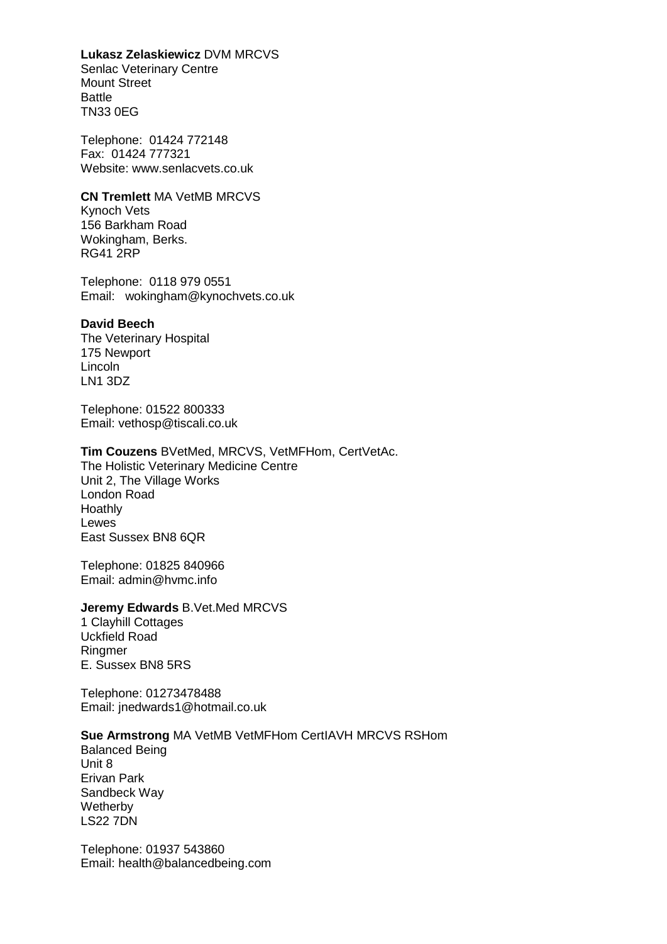#### **Lukasz Zelaskiewicz** DVM MRCVS

Senlac Veterinary Centre Mount Street Battle TN33 0EG

Telephone: 01424 772148 Fax: 01424 777321 Website: www.senlacvets.co.uk

**CN Tremlett** MA VetMB MRCVS Kynoch Vets 156 Barkham Road Wokingham, Berks. RG41 2RP

Telephone: 0118 979 0551 Email: [wokingham@kynochvets.co.uk](mailto:wokingham@kynochvets.co.uk)

#### **David Beech**

The Veterinary Hospital 175 Newport Lincoln LN1 3DZ

Telephone: 01522 800333 Email: [vethosp@tiscali.co.uk](mailto:vethosp@tiscali.co.uk)

#### **Tim Couzens** BVetMed, MRCVS, VetMFHom, CertVetAc.

The Holistic Veterinary Medicine Centre Unit 2, The Village Works London Road Hoathly **Lewes** East Sussex BN8 6QR

Telephone: 01825 840966 Email: [admin@hvmc.info](mailto:admin@hvmc.info)

#### **Jeremy Edwards** B.Vet.Med MRCVS

1 Clayhill Cottages Uckfield Road Ringmer E. Sussex BN8 5RS

Telephone: 01273478488 Email: [jnedwards1@hotmail.co.uk](mailto:jnedwards1@hotmail.co.uk)

## **Sue Armstrong** MA VetMB VetMFHom CertIAVH MRCVS RSHom

Balanced Being Unit 8 Erivan Park Sandbeck Way **Wetherby** LS22 7DN

Telephone: 01937 543860 Email: [health@balancedbeing.com](mailto:health@balancedbeing.com)